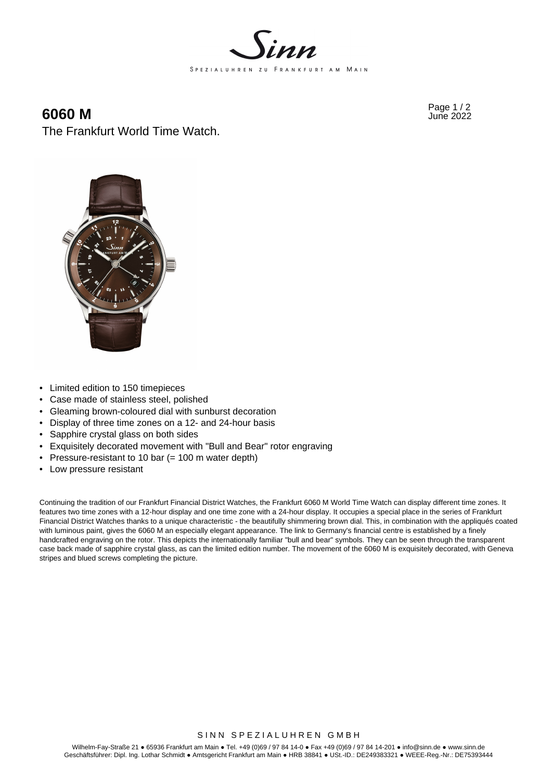

# Page 1 / 2 **6060 M** June 2022 The Frankfurt World Time Watch.



- Limited edition to 150 timepieces
- Case made of stainless steel, polished
- Gleaming brown-coloured dial with sunburst decoration
- Display of three time zones on a 12- and 24-hour basis
- Sapphire crystal glass on both sides
- Exquisitely decorated movement with "Bull and Bear" rotor engraving
- Pressure-resistant to 10 bar (= 100 m water depth)
- Low pressure resistant

Continuing the tradition of our Frankfurt Financial District Watches, the Frankfurt 6060 M World Time Watch can display different time zones. It features two time zones with a 12-hour display and one time zone with a 24-hour display. It occupies a special place in the series of Frankfurt Financial District Watches thanks to a unique characteristic - the beautifully shimmering brown dial. This, in combination with the appliqués coated with luminous paint, gives the 6060 M an especially elegant appearance. The link to Germany's financial centre is established by a finely handcrafted engraving on the rotor. This depicts the internationally familiar "bull and bear" symbols. They can be seen through the transparent case back made of sapphire crystal glass, as can the limited edition number. The movement of the 6060 M is exquisitely decorated, with Geneva stripes and blued screws completing the picture.